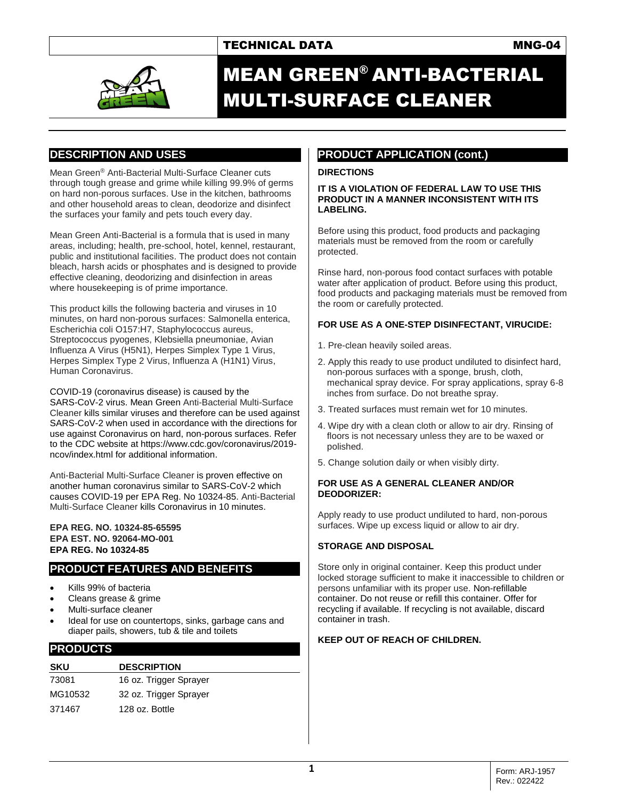## TECHNICAL DATA MNG-04



# MEAN GREEN® ANTI-BACTERIAL MULTI-SURFACE CLEANER

## **DESCRIPTION AND USES**

Mean Green® Anti-Bacterial Multi-Surface Cleaner cuts through tough grease and grime while killing 99.9% of germs on hard non-porous surfaces. Use in the kitchen, bathrooms and other household areas to clean, deodorize and disinfect the surfaces your family and pets touch every day.

Mean Green Anti-Bacterial is a formula that is used in many areas, including; health, pre-school, hotel, kennel, restaurant, public and institutional facilities. The product does not contain bleach, harsh acids or phosphates and is designed to provide effective cleaning, deodorizing and disinfection in areas where housekeeping is of prime importance.

This product kills the following bacteria and viruses in 10 minutes, on hard non-porous surfaces: Salmonella enterica, Escherichia coli O157:H7, Staphylococcus aureus, Streptococcus pyogenes, Klebsiella pneumoniae, Avian Influenza A Virus (H5N1), Herpes Simplex Type 1 Virus, Herpes Simplex Type 2 Virus, Influenza A (H1N1) Virus, Human Coronavirus.

COVID-19 (coronavirus disease) is caused by the SARS-CoV-2 virus. Mean Green Anti-Bacterial Multi-Surface Cleaner kills similar viruses and therefore can be used against SARS-CoV-2 when used in accordance with the directions for use against Coronavirus on hard, non-porous surfaces. Refer to the CDC website at https://www.cdc.gov/coronavirus/2019 ncov/index.html for additional information.

Anti-Bacterial Multi-Surface Cleaner is proven effective on another human coronavirus similar to SARS-CoV-2 which causes COVID-19 per EPA Reg. No 10324-85. Anti-Bacterial Multi-Surface Cleaner kills Coronavirus in 10 minutes.

#### **EPA REG. NO. 10324-85-65595 EPA EST. NO. 92064-MO-001 EPA REG. No 10324-85**

## **PRODUCT FEATURES AND BENEFITS**

- Kills 99% of bacteria
- Cleans grease & grime
- Multi-surface cleaner
- Ideal for use on countertops, sinks, garbage cans and diaper pails, showers, tub & tile and toilets

## **PRODUCTS**

| SKU     | <b>DESCRIPTION</b>     |
|---------|------------------------|
| 73081   | 16 oz. Trigger Sprayer |
| MG10532 | 32 oz. Trigger Sprayer |
| 371467  | 128 oz. Bottle         |

# **PRODUCT APPLICATION (cont.)**

### **DIRECTIONS**

**IT IS A VIOLATION OF FEDERAL LAW TO USE THIS PRODUCT IN A MANNER INCONSISTENT WITH ITS LABELING.** 

Before using this product, food products and packaging materials must be removed from the room or carefully protected.

Rinse hard, non-porous food contact surfaces with potable water after application of product. Before using this product, food products and packaging materials must be removed from the room or carefully protected.

## **FOR USE AS A ONE-STEP DISINFECTANT, VIRUCIDE:**

- 1. Pre-clean heavily soiled areas.
- 2. Apply this ready to use product undiluted to disinfect hard, non-porous surfaces with a sponge, brush, cloth, mechanical spray device. For spray applications, spray 6-8 inches from surface. Do not breathe spray.
- 3. Treated surfaces must remain wet for 10 minutes.
- 4. Wipe dry with a clean cloth or allow to air dry. Rinsing of floors is not necessary unless they are to be waxed or polished.
- 5. Change solution daily or when visibly dirty.

#### **FOR USE AS A GENERAL CLEANER AND/OR DEODORIZER:**

Apply ready to use product undiluted to hard, non-porous surfaces. Wipe up excess liquid or allow to air dry.

## **STORAGE AND DISPOSAL**

Store only in original container. Keep this product under locked storage sufficient to make it inaccessible to children or persons unfamiliar with its proper use. Non-refillable container. Do not reuse or refill this container. Offer for recycling if available. If recycling is not available, discard container in trash.

#### **KEEP OUT OF REACH OF CHILDREN.**